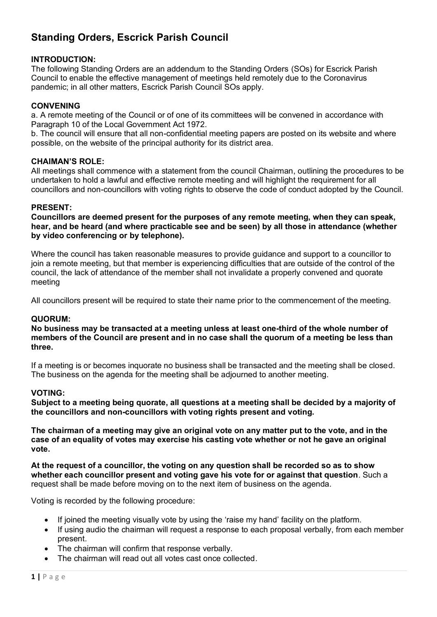# **Standing Orders, Escrick Parish Council**

## **INTRODUCTION:**

The following Standing Orders are an addendum to the Standing Orders (SOs) for Escrick Parish Council to enable the effective management of meetings held remotely due to the Coronavirus pandemic; in all other matters, Escrick Parish Council SOs apply.

## **CONVENING**

a. A remote meeting of the Council or of one of its committees will be convened in accordance with Paragraph 10 of the Local Government Act 1972.

b. The council will ensure that all non-confidential meeting papers are posted on its website and where possible, on the website of the principal authority for its district area.

#### **CHAIMAN'S ROLE:**

All meetings shall commence with a statement from the council Chairman, outlining the procedures to be undertaken to hold a lawful and effective remote meeting and will highlight the requirement for all councillors and non-councillors with voting rights to observe the code of conduct adopted by the Council.

#### **PRESENT:**

**Councillors are deemed present for the purposes of any remote meeting, when they can speak, hear, and be heard (and where practicable see and be seen) by all those in attendance (whether by video conferencing or by telephone).**

Where the council has taken reasonable measures to provide guidance and support to a councillor to join a remote meeting, but that member is experiencing difficulties that are outside of the control of the council, the lack of attendance of the member shall not invalidate a properly convened and quorate meeting

All councillors present will be required to state their name prior to the commencement of the meeting.

#### **QUORUM:**

**No business may be transacted at a meeting unless at least one-third of the whole number of members of the Council are present and in no case shall the quorum of a meeting be less than three.**

If a meeting is or becomes inquorate no business shall be transacted and the meeting shall be closed. The business on the agenda for the meeting shall be adjourned to another meeting.

#### **VOTING:**

**Subject to a meeting being quorate, all questions at a meeting shall be decided by a majority of the councillors and non-councillors with voting rights present and voting.**

**The chairman of a meeting may give an original vote on any matter put to the vote, and in the case of an equality of votes may exercise his casting vote whether or not he gave an original vote.**

**At the request of a councillor, the voting on any question shall be recorded so as to show whether each councillor present and voting gave his vote for or against that question**. Such a request shall be made before moving on to the next item of business on the agenda.

Voting is recorded by the following procedure:

- If joined the meeting visually vote by using the 'raise my hand' facility on the platform.
- If using audio the chairman will request a response to each proposal verbally, from each member present.
- The chairman will confirm that response verbally.
- The chairman will read out all votes cast once collected.